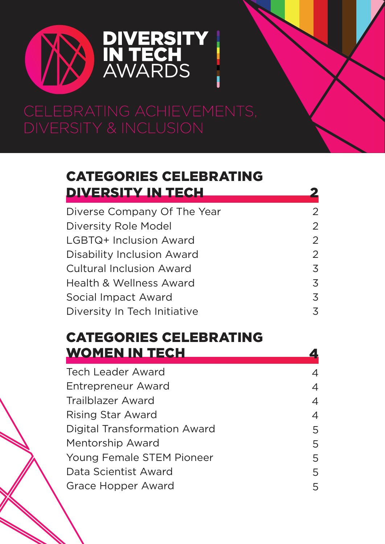

### [CATEGORIES CELEBRATING](#page-1-0) [DIVERSITY IN TECH](#page-1-0)

| Diverse Company Of The Year        | $\overline{2}$ |
|------------------------------------|----------------|
| Diversity Role Model               | $\overline{2}$ |
| LGBTQ+ Inclusion Award             | $\overline{2}$ |
| <b>Disability Inclusion Award</b>  | $\overline{2}$ |
| <b>Cultural Inclusion Award</b>    | 3              |
| <b>Health &amp; Wellness Award</b> | 3              |
| Social Impact Award                | 3              |
| Diversity In Tech Initiative       | 3              |

### CATEGORIES [CELEBRATING](#page-3-0) WOMEN IN TECH

4 4 4 4 5 5 5 5 [Tech Leader Award](#page-3-0)  [Entrepreneur Award](#page-3-0) [Trailblazer Award](#page-3-0)  [Rising Star Award](#page-3-0)  [Digital Transformation Award](#page-4-0)  [Mentorship Award](#page-4-0)  [Young Female STEM Pioneer](#page-4-0)  [Data Scientist Award](#page-4-0)  [Grace Hopper Award](#page-4-0) 5

4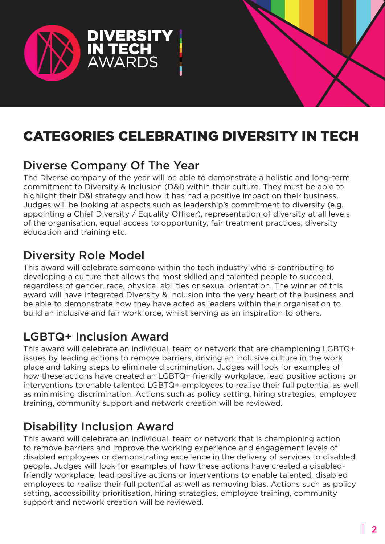<span id="page-1-0"></span>

# CATEGORIES CELEBRATING DIVERSITY IN TECH

### Diverse Company Of The Year

The Diverse company of the year will be able to demonstrate a holistic and long-term commitment to Diversity & Inclusion (D&I) within their culture. They must be able to highlight their D&I strategy and how it has had a positive impact on their business. Judges will be looking at aspects such as leadership's commitment to diversity (e.g. appointing a Chief Diversity / Equality Officer), representation of diversity at all levels of the organisation, equal access to opportunity, fair treatment practices, diversity education and training etc.

### Diversity Role Model

This award will celebrate someone within the tech industry who is contributing to developing a culture that allows the most skilled and talented people to succeed, regardless of gender, race, physical abilities or sexual orientation. The winner of this award will have integrated Diversity & Inclusion into the very heart of the business and be able to demonstrate how they have acted as leaders within their organisation to build an inclusive and fair workforce, whilst serving as an inspiration to others.

### LGBTQ+ Inclusion Award

This award will celebrate an individual, team or network that are championing LGBTQ+ issues by leading actions to remove barriers, driving an inclusive culture in the work place and taking steps to eliminate discrimination. Judges will look for examples of how these actions have created an LGBTQ+ friendly workplace, lead positive actions or interventions to enable talented LGBTQ+ employees to realise their full potential as well as minimising discrimination. Actions such as policy setting, hiring strategies, employee training, community support and network creation will be reviewed.

### Disability Inclusion Award

This award will celebrate an individual, team or network that is championing action to remove barriers and improve the working experience and engagement levels of disabled employees or demonstrating excellence in the delivery of services to disabled people. Judges will look for examples of how these actions have created a disabledfriendly workplace, lead positive actions or interventions to enable talented, disabled employees to realise their full potential as well as removing bias. Actions such as policy setting, accessibility prioritisation, hiring strategies, employee training, community support and network creation will be reviewed.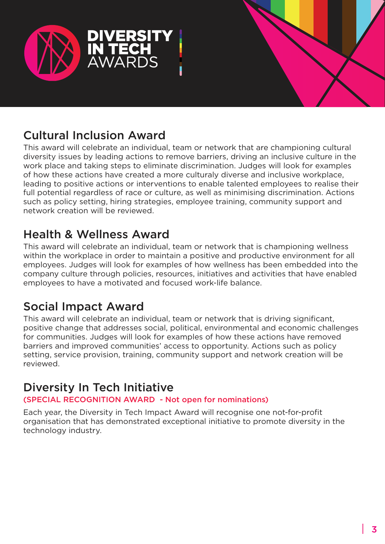<span id="page-2-0"></span>



## Cultural Inclusion Award

This award will celebrate an individual, team or network that are championing cultural diversity issues by leading actions to remove barriers, driving an inclusive culture in the work place and taking steps to eliminate discrimination. Judges will look for examples of how these actions have created a more culturaly diverse and inclusive workplace, leading to positive actions or interventions to enable talented employees to realise their full potential regardless of race or culture, as well as minimising discrimination. Actions such as policy setting, hiring strategies, employee training, community support and network creation will be reviewed.

### Health & Wellness Award

This award will celebrate an individual, team or network that is championing wellness within the workplace in order to maintain a positive and productive environment for all employees. Judges will look for examples of how wellness has been embedded into the company culture through policies, resources, initiatives and activities that have enabled employees to have a motivated and focused work-life balance.

### Social Impact Award

This award will celebrate an individual, team or network that is driving significant, positive change that addresses social, political, environmental and economic challenges for communities. Judges will look for examples of how these actions have removed barriers and improved communities' access to opportunity. Actions such as policy setting, service provision, training, community support and network creation will be reviewed.

### Diversity In Tech Initiative

#### (SPECIAL RECOGNITION AWARD - Not open for nominations)

Each year, the Diversity in Tech Impact Award will recognise one not-for-profit organisation that has demonstrated exceptional initiative to promote diversity in the technology industry.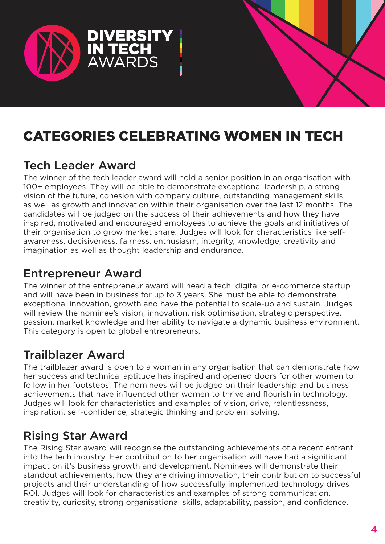<span id="page-3-0"></span>

# CATEGORIES CELEBRATING WOMEN IN TECH

### Tech Leader Award

The winner of the tech leader award will hold a senior position in an organisation with 100+ employees. They will be able to demonstrate exceptional leadership, a strong vision of the future, cohesion with company culture, outstanding management skills as well as growth and innovation within their organisation over the last 12 months. The candidates will be judged on the success of their achievements and how they have inspired, motivated and encouraged employees to achieve the goals and initiatives of their organisation to grow market share. Judges will look for characteristics like selfawareness, decisiveness, fairness, enthusiasm, integrity, knowledge, creativity and imagination as well as thought leadership and endurance.

### Entrepreneur Award

The winner of the entrepreneur award will head a tech, digital or e-commerce startup and will have been in business for up to 3 years. She must be able to demonstrate exceptional innovation, growth and have the potential to scale-up and sustain. Judges will review the nominee's vision, innovation, risk optimisation, strategic perspective, passion, market knowledge and her ability to navigate a dynamic business environment. This category is open to global entrepreneurs.

### Trailblazer Award

The trailblazer award is open to a woman in any organisation that can demonstrate how her success and technical aptitude has inspired and opened doors for other women to follow in her footsteps. The nominees will be judged on their leadership and business achievements that have influenced other women to thrive and flourish in technology. Judges will look for characteristics and examples of vision, drive, relentlessness, inspiration, self-confidence, strategic thinking and problem solving.

### Rising Star Award

The Rising Star award will recognise the outstanding achievements of a recent entrant into the tech industry. Her contribution to her organisation will have had a significant impact on it's business growth and development. Nominees will demonstrate their standout achievements, how they are driving innovation, their contribution to successful projects and their understanding of how successfully implemented technology drives ROI. Judges will look for characteristics and examples of strong communication, creativity, curiosity, strong organisational skills, adaptability, passion, and confidence.